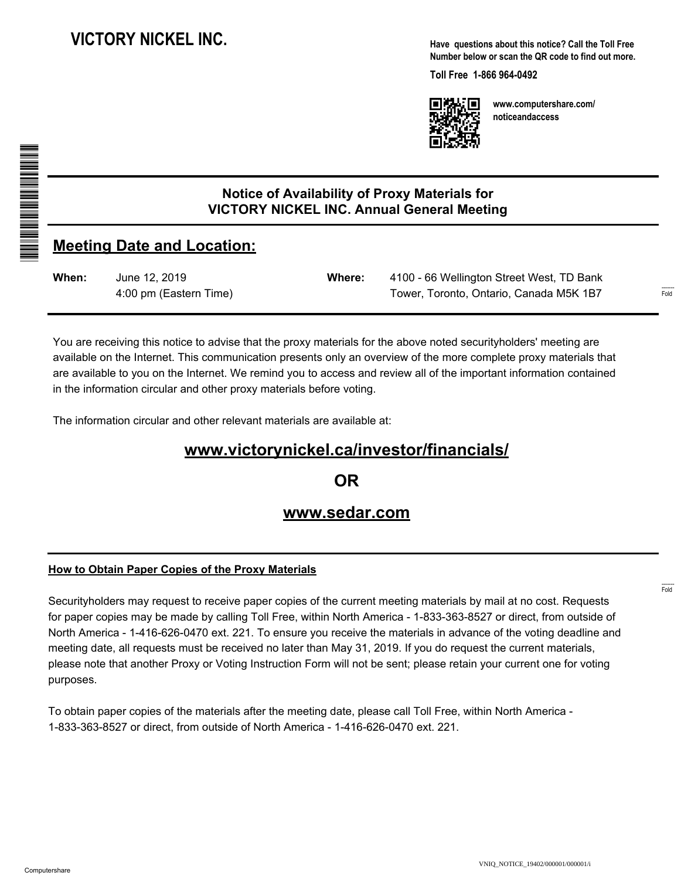**Have questions about this notice? Call the Toll Free Number below or scan the QR code to find out more.**

**Toll Free 1-866 964-0492**



**www.computershare.com/ noticeandaccess**

## **Notice of Availability of Proxy Materials for VICTORY NICKEL INC. Annual General Meeting**

## **Meeting Date and Location:**

A A THE REAL PROPERTY AND ALL AND AN ALL AND \*S000001Q01\*

| When: | June 12, 2019          | Where: | 4100 - 66 Wellington Street West, TD Bank |
|-------|------------------------|--------|-------------------------------------------|
|       | 4:00 pm (Eastern Time) |        | Tower, Toronto, Ontario, Canada M5K 1B7   |

You are receiving this notice to advise that the proxy materials for the above noted securityholders' meeting are available on the Internet. This communication presents only an overview of the more complete proxy materials that are available to you on the Internet. We remind you to access and review all of the important information contained in the information circular and other proxy materials before voting.

The information circular and other relevant materials are available at:

# **www.victorynickel.ca/investor/financials/**

**OR**

### **www.sedar.com**

#### **How to Obtain Paper Copies of the Proxy Materials**

Securityholders may request to receive paper copies of the current meeting materials by mail at no cost. Requests for paper copies may be made by calling Toll Free, within North America - 1-833-363-8527 or direct, from outside of North America - 1-416-626-0470 ext. 221. To ensure you receive the materials in advance of the voting deadline and meeting date, all requests must be received no later than May 31, 2019. If you do request the current materials, please note that another Proxy or Voting Instruction Form will not be sent; please retain your current one for voting purposes.

To obtain paper copies of the materials after the meeting date, please call Toll Free, within North America - 1-833-363-8527 or direct, from outside of North America - 1-416-626-0470 ext. 221.

------- Fold

------- Fold